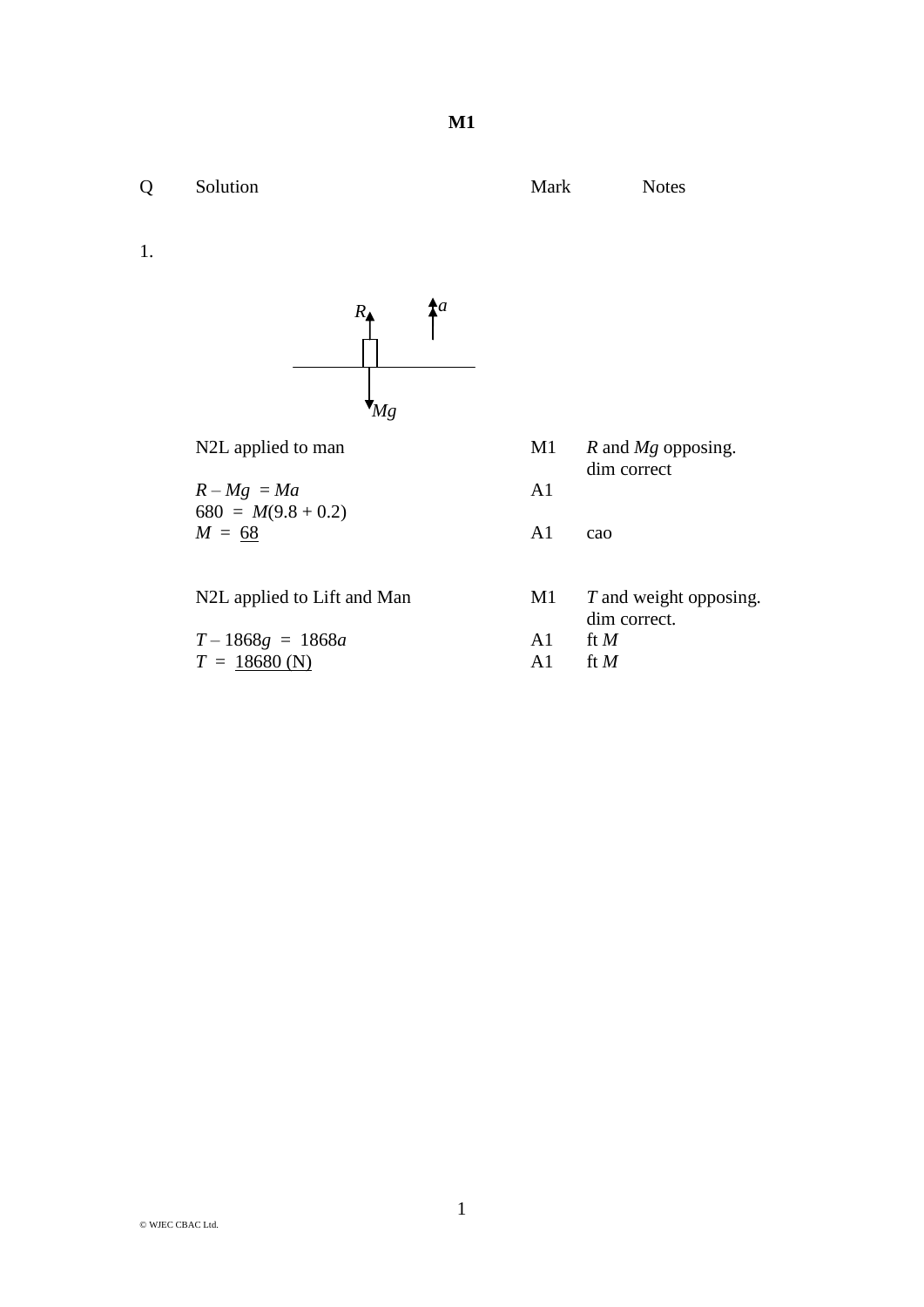1.



 $R - Mg = Ma$  A1 680 =  $M(9.8 + 0.2)$  $M = 68$  A1 cao

|  | N2L applied to Lift and Man |  |  |  |  |
|--|-----------------------------|--|--|--|--|
|--|-----------------------------|--|--|--|--|

| $T-1868g = 1868a$ | A1 ft M   |
|-------------------|-----------|
| $T = 18680$ (N)   | A1 ft $M$ |

- N2L applied to man M1 *R* and *Mg* opposing. dim correct
	-

M1 *T* and weight opposing. dim correct.<br>ft  $M$ 

- 
-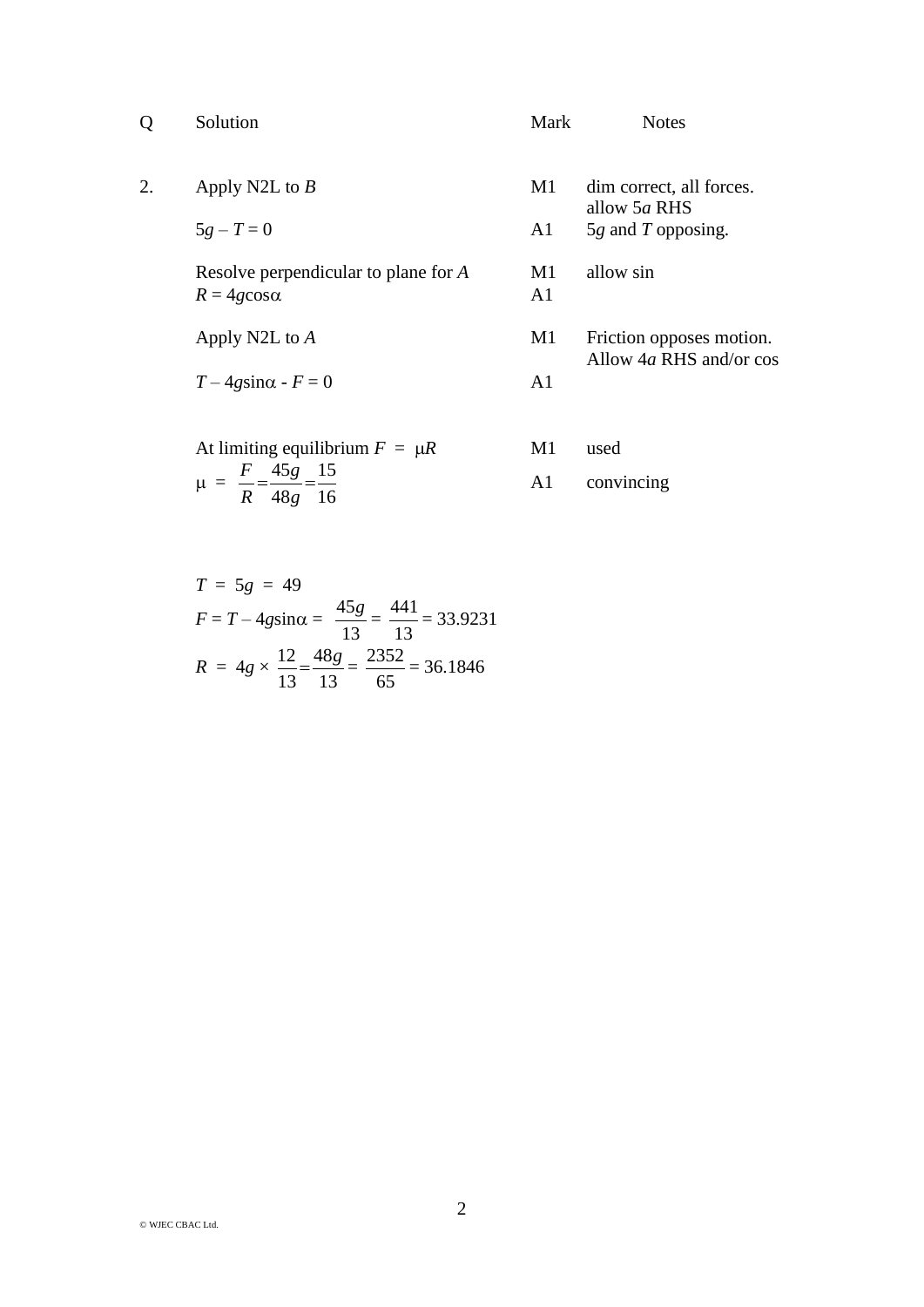| 0  | Solution                                                     | <b>Mark</b>          | <b>Notes</b>                             |
|----|--------------------------------------------------------------|----------------------|------------------------------------------|
| 2. | Apply N2L to $B$                                             | M1                   | dim correct, all forces.<br>allow 5a RHS |
|    | $5g - T = 0$                                                 | A <sub>1</sub>       | $5g$ and T opposing.                     |
|    | Resolve perpendicular to plane for A<br>$R = 4g \cos \alpha$ | M1<br>A <sub>1</sub> | allow sin                                |
|    | Apply N2L to A                                               | M1                   | Friction opposes motion.                 |
|    | $T-4g\sin\alpha$ - $F=0$                                     | A <sub>1</sub>       | Allow $4a$ RHS and/or cos                |
|    | At limiting equilibrium $F = \mu R$<br>$E = 4E = 1E$         | M1                   | used                                     |

$$
\mu = \frac{F}{R} = \frac{45g}{48g} = \frac{15}{16}
$$
 A1 convincing

$$
T = 5g = 49
$$
  
\n
$$
F = T - 4g \sin \alpha = \frac{45g}{13} = \frac{441}{13} = 33.9231
$$
  
\n
$$
R = 4g \times \frac{12}{13} = \frac{48g}{13} = \frac{2352}{65} = 36.1846
$$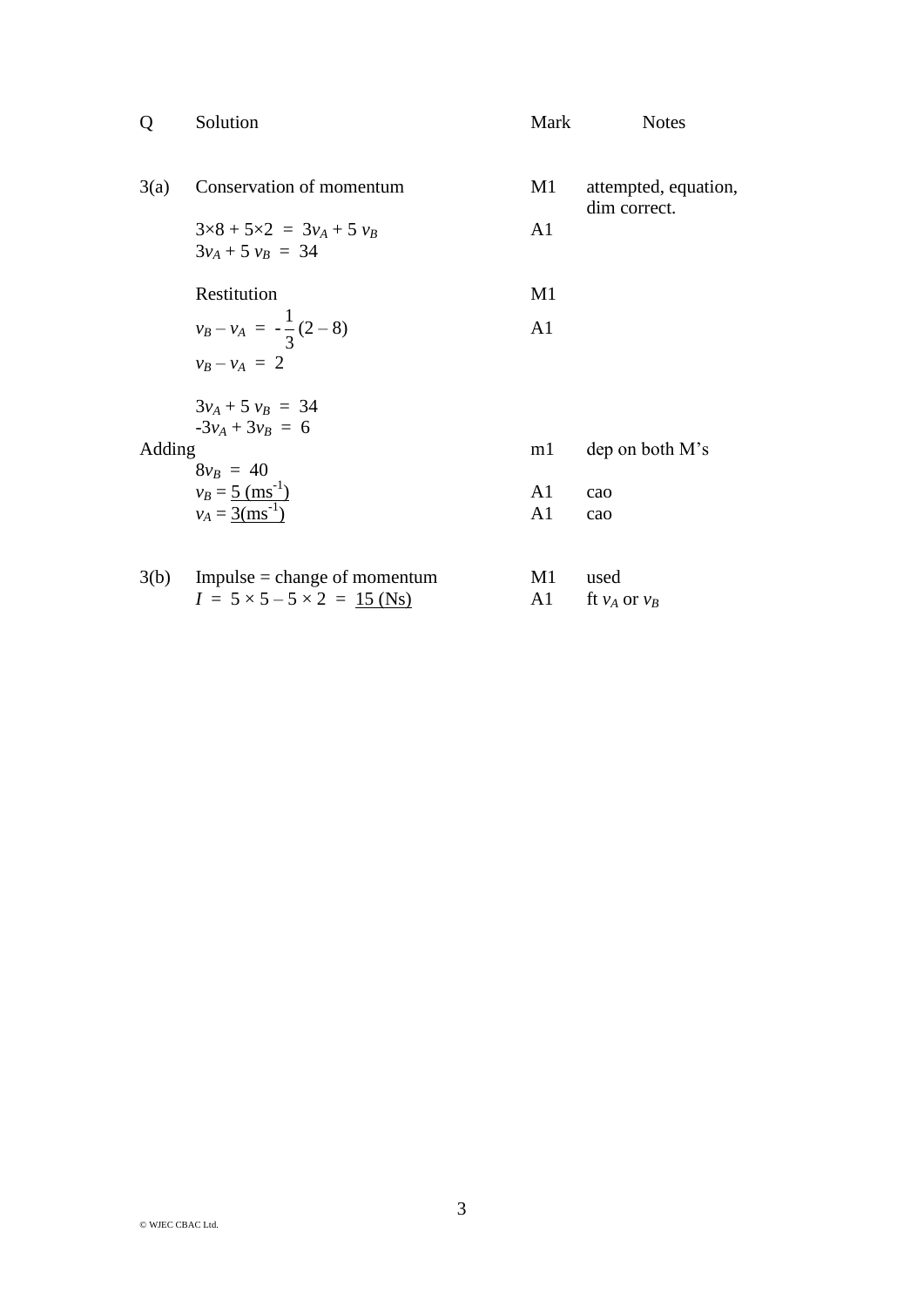| $\overline{Q}$ | Solution                                                  | Mark           | <b>Notes</b>                         |
|----------------|-----------------------------------------------------------|----------------|--------------------------------------|
| 3(a)           | Conservation of momentum                                  | M1             | attempted, equation,<br>dim correct. |
|                | $3\times8 + 5\times2 = 3v_A + 5v_B$<br>$3v_A + 5v_B = 34$ | A1             |                                      |
|                | Restitution                                               | M1             |                                      |
|                | $v_B - v_A = -\frac{1}{3}(2-8)$                           | A1             |                                      |
|                | $v_B - v_A = 2$                                           |                |                                      |
|                | $3v_A + 5v_B = 34$                                        |                |                                      |
| Adding         | $-3v_4 + 3v_8 = 6$<br>$8v_B = 40$                         | m1             | dep on both M's                      |
|                | $v_B = 5$ (ms <sup>-1</sup> )                             | A1             | cao                                  |
|                | $v_A = 3$ (ms <sup>-1</sup> )                             | A <sub>1</sub> | cao                                  |
|                | $3(b)$ Impulse = change of momentum                       | M1             | used                                 |
|                | $I = 5 \times 5 - 5 \times 2 = 15$ (Ns)                   | A1             | ft $v_A$ or $v_B$                    |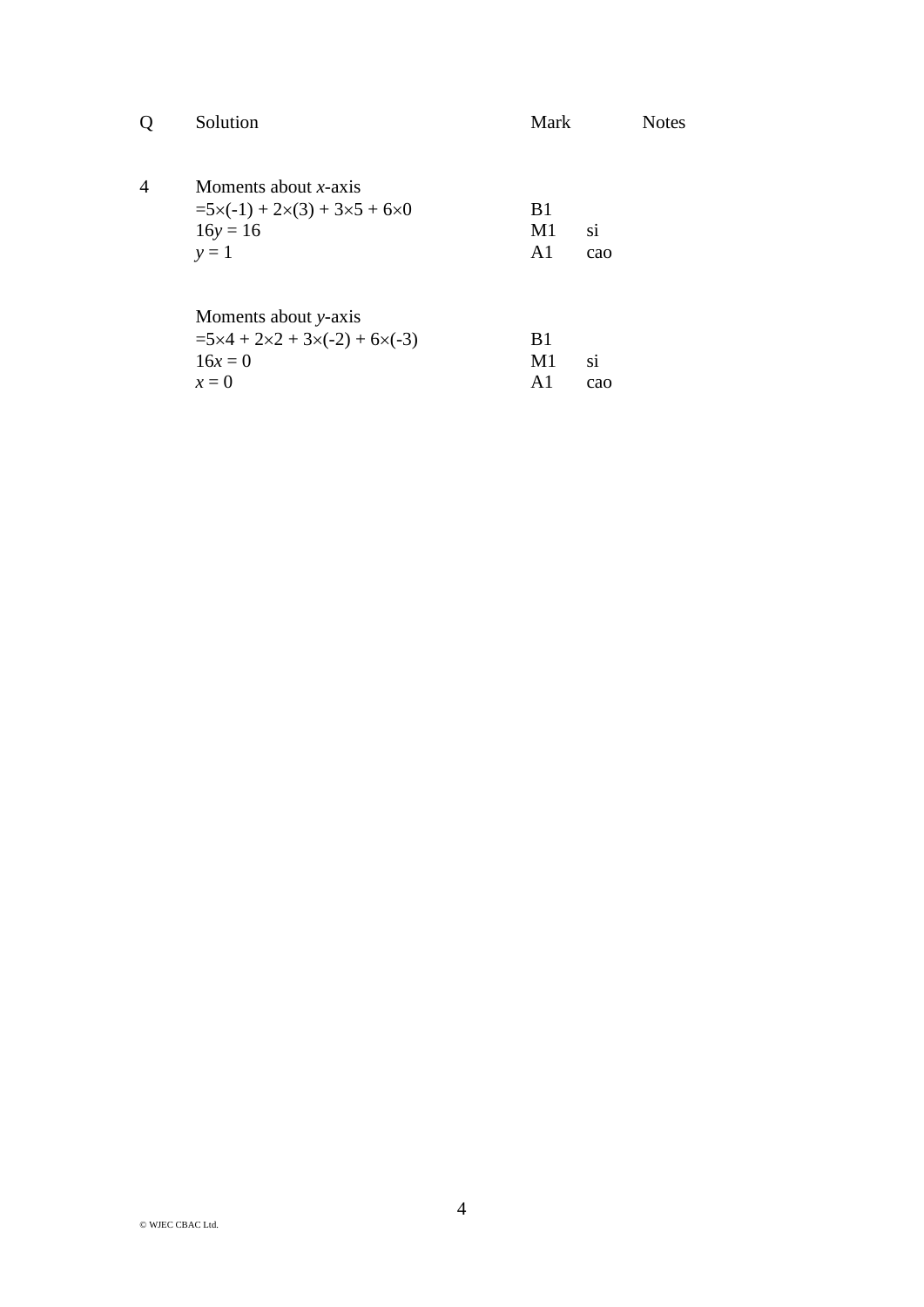|                | Solution                                                                                            | Mark                                   | <b>Notes</b> |
|----------------|-----------------------------------------------------------------------------------------------------|----------------------------------------|--------------|
| $\overline{4}$ | Moments about $x$ -axis<br>$=5\times(-1) + 2\times(3) + 3\times5 + 6\times0$<br>$16y = 16$<br>$y=1$ | B <sub>1</sub><br>M1<br>A <sub>1</sub> | si<br>cao    |
|                | Moments about y-axis<br>$=5\times4+2\times2+3\times(-2)+6\times(-3)$<br>$16x = 0$<br>$x=0$          | B <sub>1</sub><br>M1<br>A1             | si<br>cao    |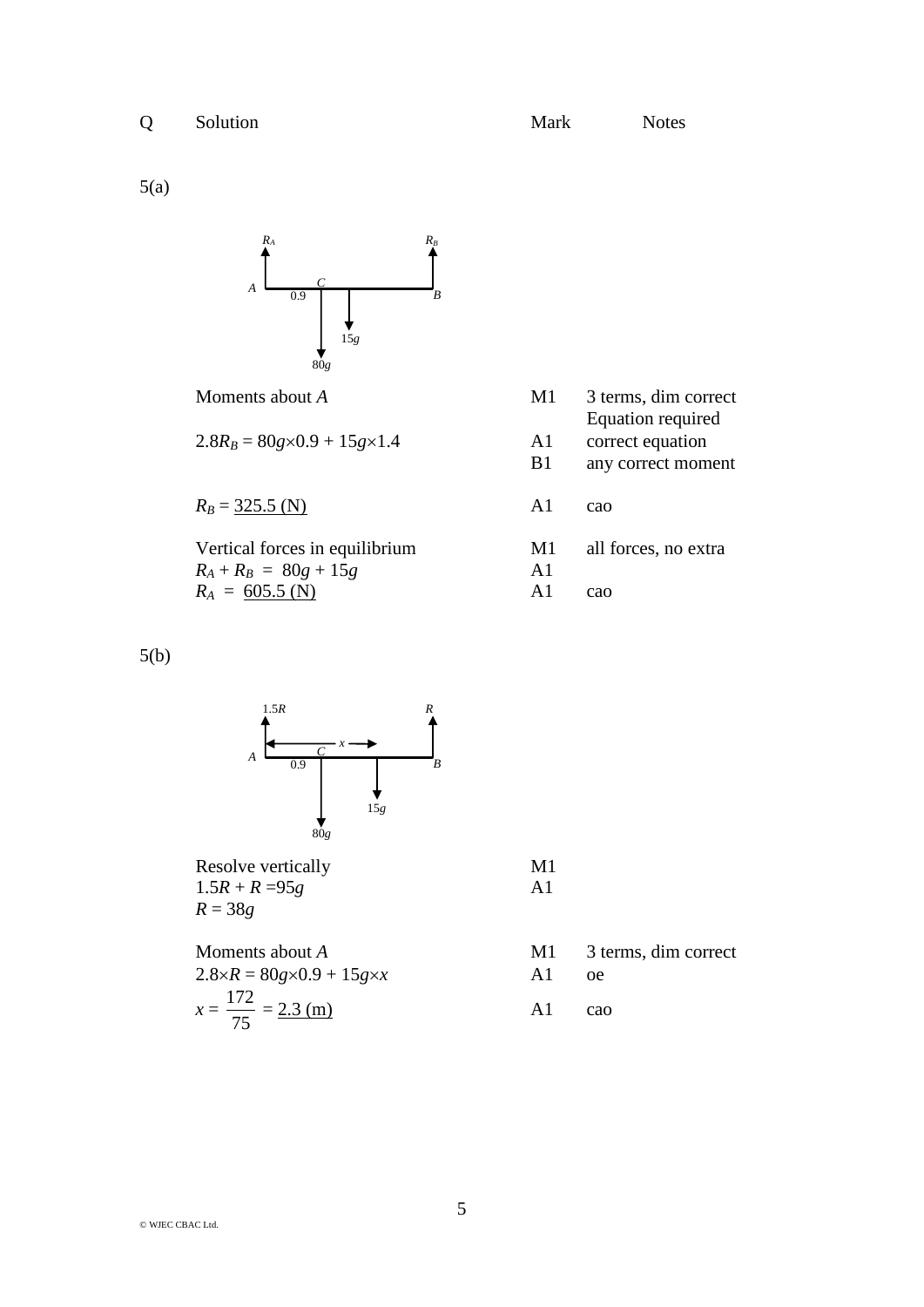5(a)



$$
2.8R_B = 80g \times 0.9 + 15g \times 1.4
$$
 A1 correct equation

 $R_B = 325.5 \text{ (N)}$  A1 cao

Vertical forces in equilibrium M1 all forces, no extra  $R_A + R_B = 80g + 15g$  A1<br>  $R_A = 605.5$  (N) A1  $R_A = \frac{605.5 \text{ (N)}}{2}$  A1 cao

- Moments about *A* M1 3 terms, dim correct Equation required
	-
	- B1 any correct moment
	-
	-
	-

5(b)



Resolve vertically M1  $1.5R + R = 95g$  A1 *R* = 38*g*

- Moments about *A* M1 3 terms, dim correct
- $2.8 \times R = 80g \times 0.9 + 15g \times x$  A1 oe
	- $\frac{172}{25} = 2.3 \text{ (m)}$  A1 cao

 $x =$ 

75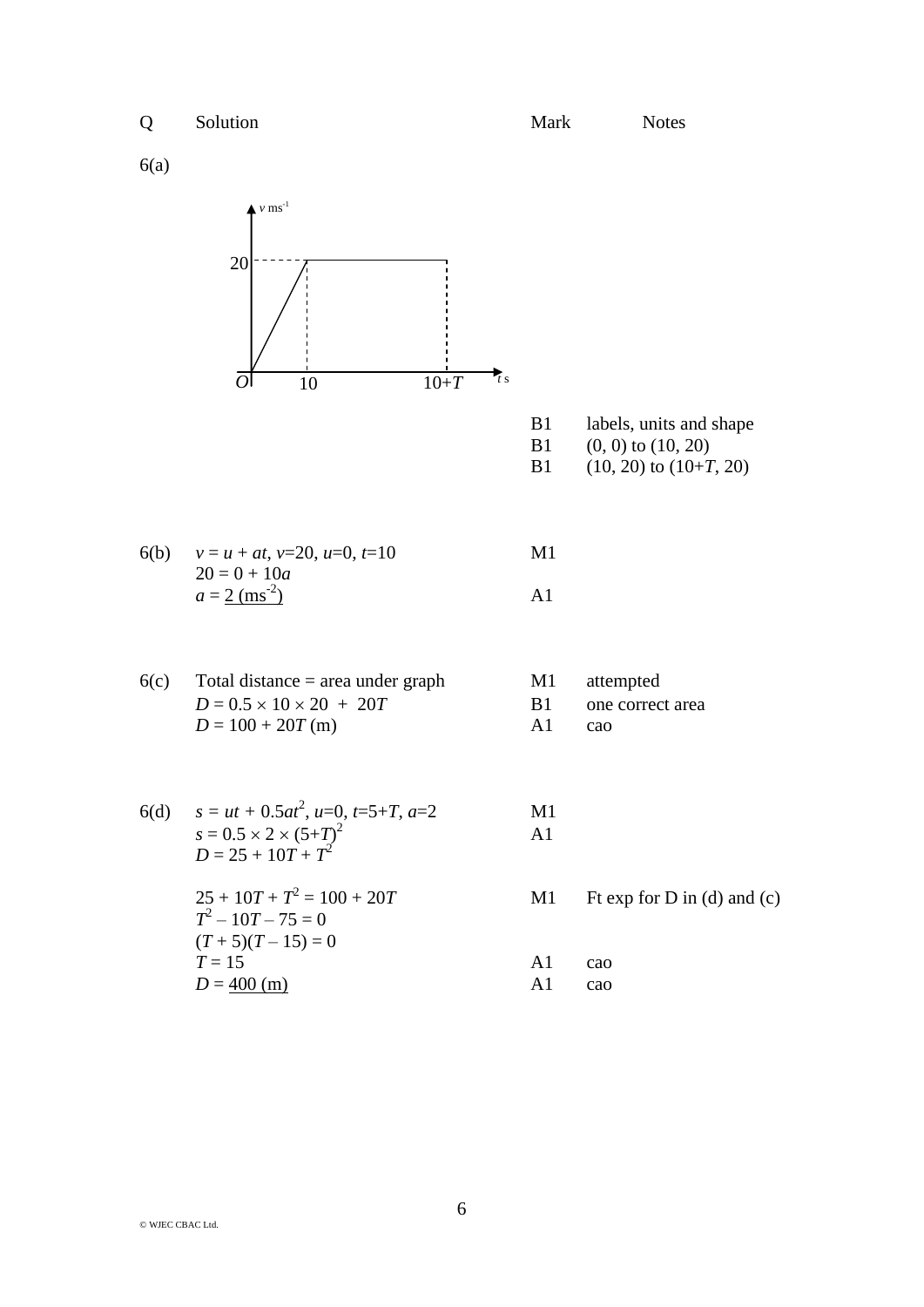6(a)



| B1 | labels, units and shape |
|----|-------------------------|
| B1 | $(0, 0)$ to $(10, 20)$  |

B1  $(10, 20)$  to  $(10+T, 20)$ 

| 6(b) $v = u + at$ , $v=20$ , $u=0$ , $t=10$ | M1  |
|---------------------------------------------|-----|
| $20 = 0 + 10a$                              |     |
| $a = 2$ (ms <sup>-2</sup> )                 | A l |

- $6(c)$  Total distance = area under graph M1 attempted  $D = 0.5 \times 10 \times 20 + 20T$  B1 one correct area  $D = 100 + 20T$  (m) A1 cao
	-
	-
	-
- 6(d)  $s = ut + 0.5at^2$ ,  $u=0$ ,  $t=5+T$ ,  $a=2$  M1  $s = 0.5 \times 2 \times (5 + T)$  $2 \overline{A1}$  $D = 25 + 10T + T^2$ 
	- $25 + 10T + T^2$  $T^2 - 10T - 75 = 0$  $(T+5)(T-15)=0$  $T = 15$  A1 cao  $D = \frac{400 \text{ (m)}}{20}$  A1 cao
- M1 Ft exp for D in (d) and (c)
	-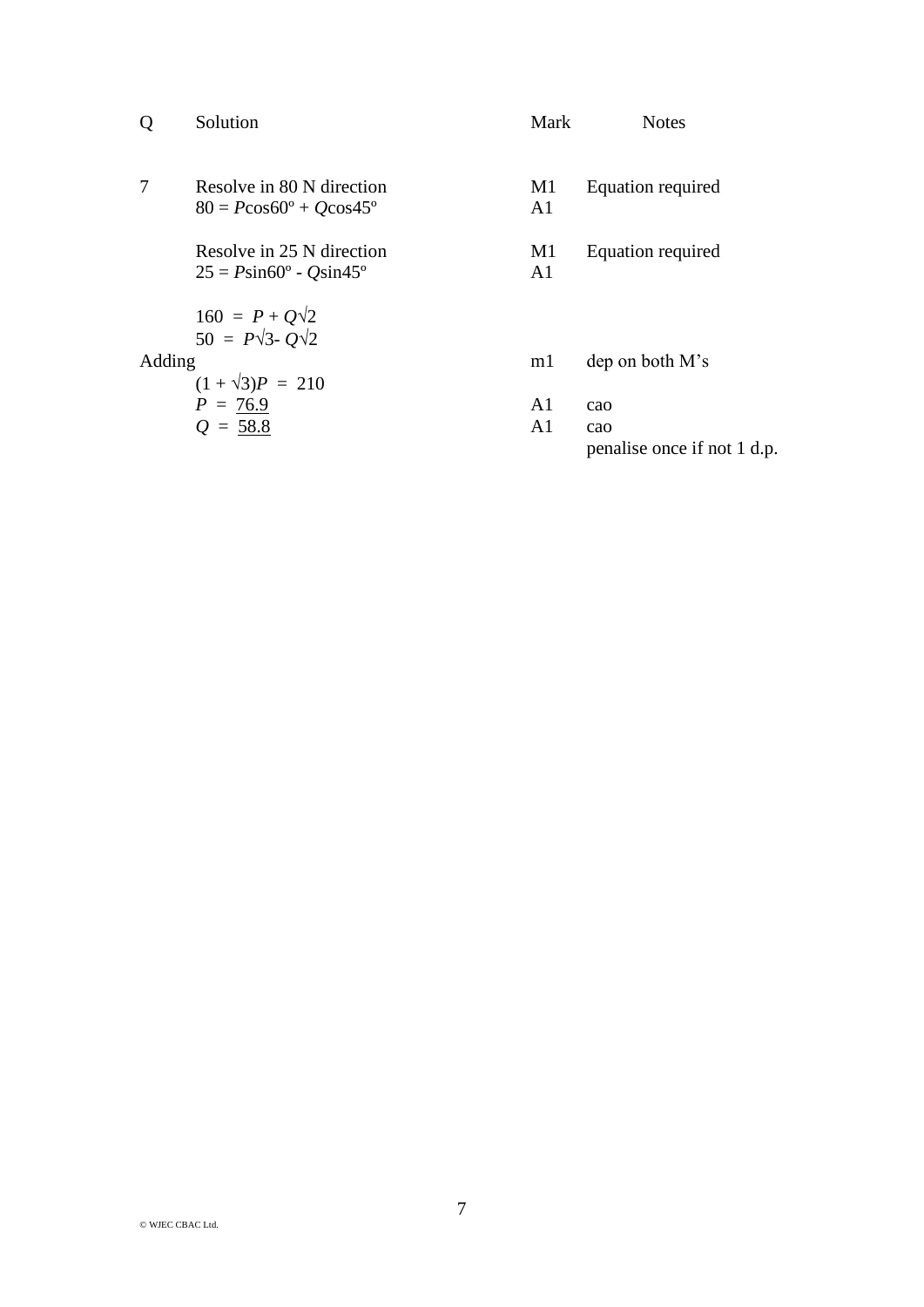| Q      | Solution                                                                | Mark                 | <b>Notes</b>                       |
|--------|-------------------------------------------------------------------------|----------------------|------------------------------------|
| 7      | Resolve in 80 N direction<br>$80 = P\cos 60^{\circ} + Q\cos 45^{\circ}$ | M1<br>A <sub>1</sub> | Equation required                  |
|        | Resolve in 25 N direction<br>$25 = P\sin 60^\circ - Q\sin 45^\circ$     | M1<br>A <sub>1</sub> | <b>Equation required</b>           |
|        | $160 = P + Q\sqrt{2}$<br>$50 = P\sqrt{3} - Q\sqrt{2}$                   |                      |                                    |
| Adding | $(1 + \sqrt{3})P = 210$                                                 | ml                   | dep on both M's                    |
|        | $P = 76.9$                                                              | A1                   | cao                                |
|        | $Q = 58.8$                                                              | A <sub>1</sub>       | cao<br>penalise once if not 1 d.p. |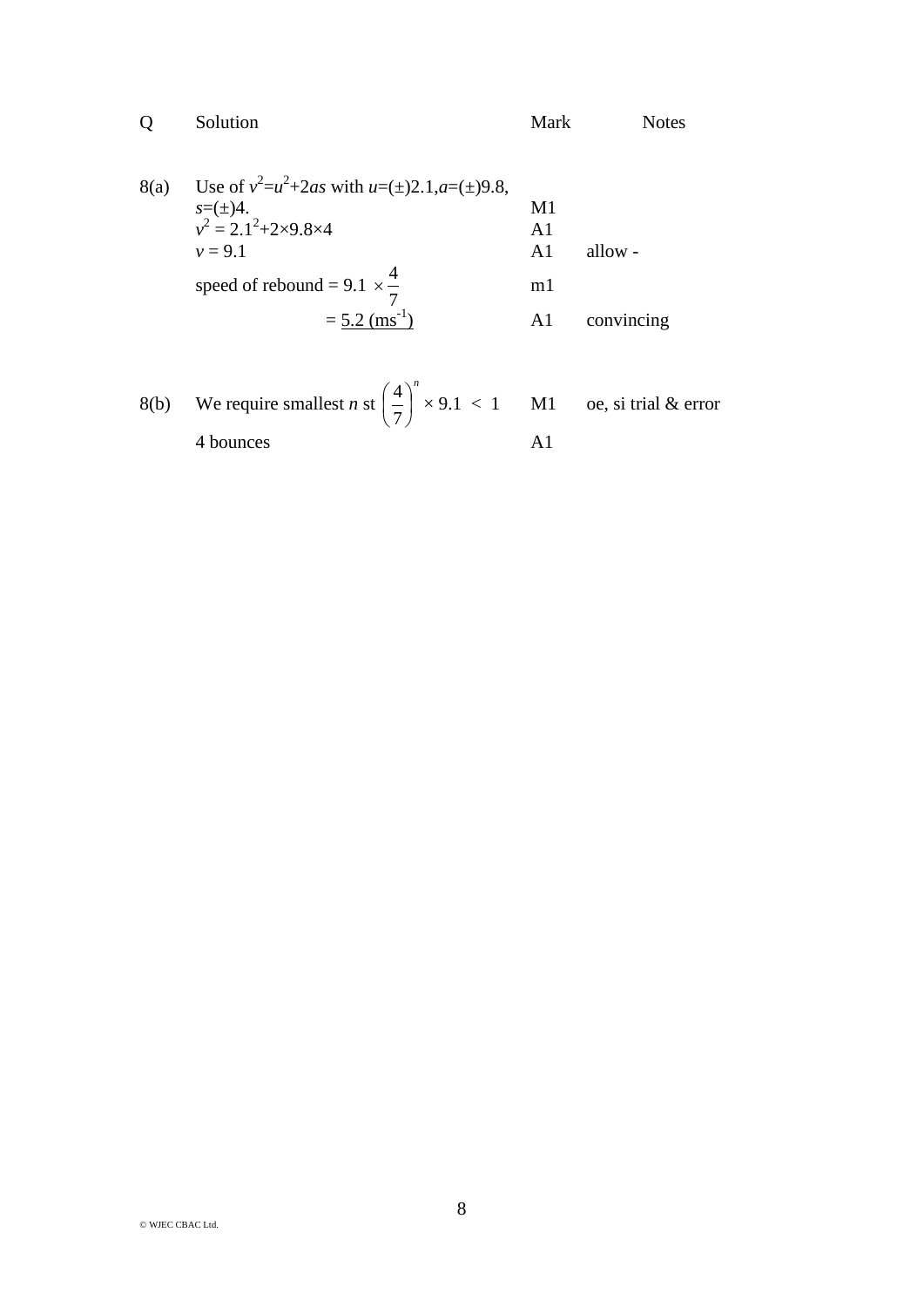|      | Solution                                                           | Mark                 | <b>Notes</b> |
|------|--------------------------------------------------------------------|----------------------|--------------|
| 8(a) | Use of $v^2 = u^2 + 2as$ with $u = (\pm)2.1, a = (\pm)9.8$ ,       | M1                   |              |
|      | $s=(\pm)4$ .<br>$v^2 = 2.1^2 + 2 \times 9.8 \times 4$<br>$v = 9.1$ | A <sub>1</sub><br>A1 | allow -      |
|      | speed of rebound = 9.1 $\times \frac{4}{5}$                        | m <sub>1</sub>       |              |
|      | $= 5.2$ (ms <sup>-1</sup> )                                        | A1                   | convincing   |

8(b) We require smallest *n* st 
$$
\left(\frac{4}{7}\right)^n \times 9.1 < 1
$$
 M1 oe, si trial & error 4 bounces A1